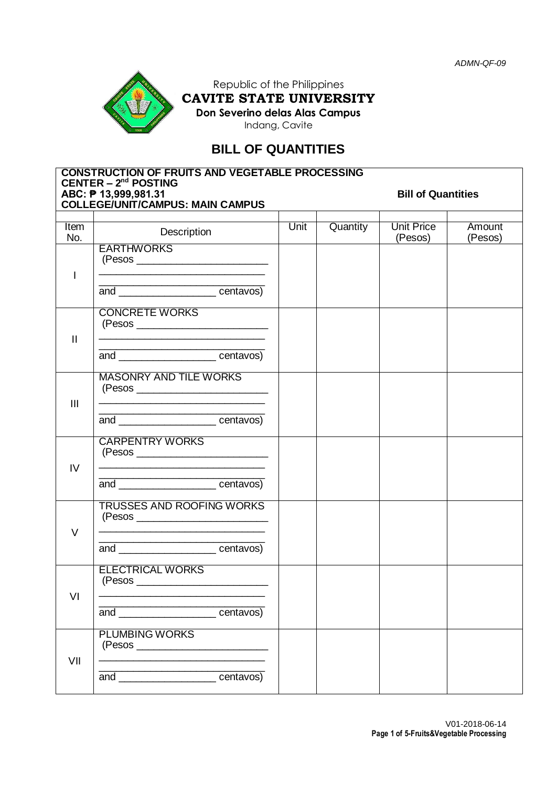

Republic of the Philippines **CAVITE STATE UNIVERSITY Don Severino delas Alas Campus**

Indang, Cavite

# **BILL OF QUANTITIES**

| <b>CONSTRUCTION OF FRUITS AND VEGETABLE PROCESSING</b><br>CENTER $- 2nd$ POSTING |                                                                                                 |                           |          |                              |                   |  |  |  |
|----------------------------------------------------------------------------------|-------------------------------------------------------------------------------------------------|---------------------------|----------|------------------------------|-------------------|--|--|--|
|                                                                                  | ABC: P 13,999,981.31<br><b>COLLEGE/UNIT/CAMPUS: MAIN CAMPUS</b>                                 | <b>Bill of Quantities</b> |          |                              |                   |  |  |  |
|                                                                                  |                                                                                                 |                           |          |                              |                   |  |  |  |
| Item<br>No.                                                                      | Description                                                                                     | Unit                      | Quantity | <b>Unit Price</b><br>(Pesos) | Amount<br>(Pesos) |  |  |  |
| $\mathbf{I}$                                                                     | <b>EARTHWORKS</b><br>the control of the control of the control of the control of the control of |                           |          |                              |                   |  |  |  |
|                                                                                  | and <u>centavos</u>                                                                             |                           |          |                              |                   |  |  |  |
| $\mathbf{I}$                                                                     | <b>CONCRETE WORKS</b><br>(Pesos _________________________                                       |                           |          |                              |                   |  |  |  |
|                                                                                  | and __________________________centavos)                                                         |                           |          |                              |                   |  |  |  |
| $\mathbf{III}$                                                                   | <b>MASONRY AND TILE WORKS</b>                                                                   |                           |          |                              |                   |  |  |  |
|                                                                                  | and <u>example and</u> centavos)                                                                |                           |          |                              |                   |  |  |  |
| IV                                                                               | <b>CARPENTRY WORKS</b>                                                                          |                           |          |                              |                   |  |  |  |
|                                                                                  | and _______________________centavos)                                                            |                           |          |                              |                   |  |  |  |
| $\vee$                                                                           | <b>TRUSSES AND ROOFING WORKS</b>                                                                |                           |          |                              |                   |  |  |  |
|                                                                                  | and <u>example and</u> centavos)                                                                |                           |          |                              |                   |  |  |  |
| VI                                                                               | <b>ELECTRICAL WORKS</b><br>(Pesos                                                               |                           |          |                              |                   |  |  |  |
|                                                                                  | and centavos)                                                                                   |                           |          |                              |                   |  |  |  |
| VII                                                                              | <b>PLUMBING WORKS</b><br>(Pesos                                                                 |                           |          |                              |                   |  |  |  |
|                                                                                  | and ________________________centavos)                                                           |                           |          |                              |                   |  |  |  |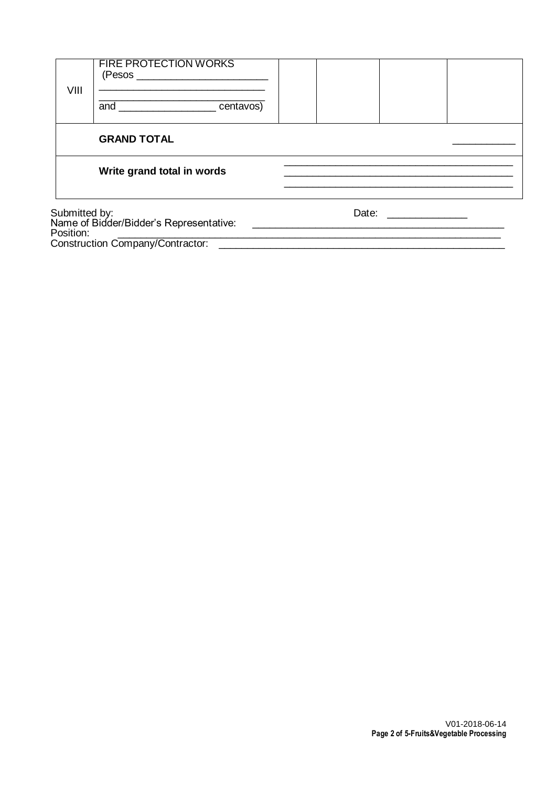| VIII                                                        | <b>FIRE PROTECTION WORKS</b> |       |  |
|-------------------------------------------------------------|------------------------------|-------|--|
|                                                             | and centavos)                |       |  |
|                                                             | <b>GRAND TOTAL</b>           |       |  |
|                                                             | Write grand total in words   |       |  |
| Submitted by:<br>Names of Birlder(Birlder): Denne entatives |                              | Date: |  |

Name of Bidder/Bidder's Representative: \_\_\_\_\_\_\_\_\_\_\_\_\_\_\_\_\_\_\_\_\_\_\_\_\_\_\_\_\_\_\_\_\_\_\_\_\_\_\_\_\_\_\_\_ Position: \_\_\_\_\_\_\_\_\_\_\_\_\_\_\_\_\_\_\_\_\_\_\_\_\_\_\_\_\_\_\_\_\_\_\_\_\_\_\_\_\_\_\_\_\_\_\_\_\_\_\_\_\_\_\_\_\_\_\_\_\_\_\_\_\_\_\_ Construction Company/Contractor: \_\_\_\_\_\_\_\_\_\_\_\_\_\_\_\_\_\_\_\_\_\_\_\_\_\_\_\_\_\_\_\_\_\_\_\_\_\_\_\_\_\_\_\_\_\_\_\_\_\_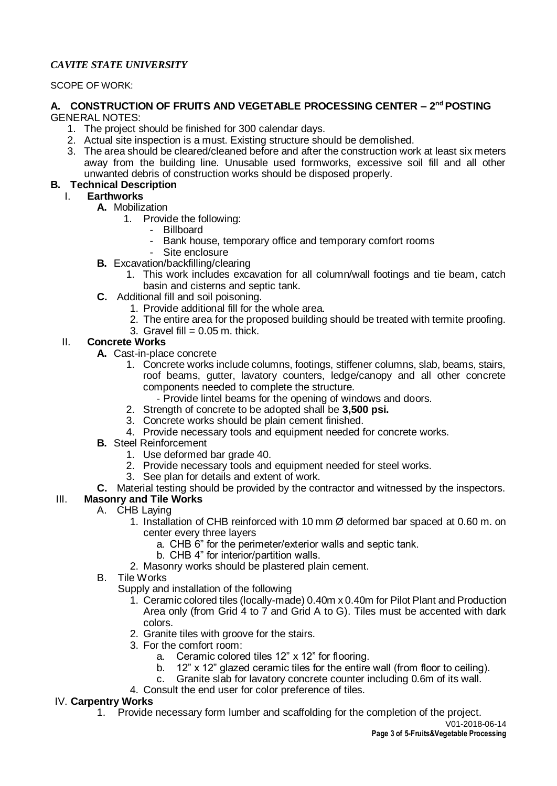### *CAVITE STATE UNIVERSITY*

#### SCOPE OF WORK:

#### **A. CONSTRUCTION OF FRUITS AND VEGETABLE PROCESSING CENTER – 2 nd POSTING** GENERAL NOTES:

- 1. The project should be finished for 300 calendar days.
- 2. Actual site inspection is a must. Existing structure should be demolished.
- 3. The area should be cleared/cleaned before and after the construction work at least six meters away from the building line. Unusable used formworks, excessive soil fill and all other unwanted debris of construction works should be disposed properly.

### **B. Technical Description**

## I. **Earthworks**

- **A.** Mobilization
	- 1. Provide the following:
		- Billboard
		- Bank house, temporary office and temporary comfort rooms
		- Site enclosure
- **B.** Excavation/backfilling/clearing
	- 1. This work includes excavation for all column/wall footings and tie beam, catch basin and cisterns and septic tank.
- **C.** Additional fill and soil poisoning.
	- 1. Provide additional fill for the whole area.
	- 2. The entire area for the proposed building should be treated with termite proofing.
	- 3. Gravel fill  $= 0.05$  m. thick.

### II. **Concrete Works**

- **A.** Cast-in-place concrete
	- 1. Concrete works include columns, footings, stiffener columns, slab, beams, stairs, roof beams, gutter, lavatory counters, ledge/canopy and all other concrete components needed to complete the structure.
		- Provide lintel beams for the opening of windows and doors.
	- 2. Strength of concrete to be adopted shall be **3,500 psi.**
	- 3. Concrete works should be plain cement finished.
	- 4. Provide necessary tools and equipment needed for concrete works.
- **B.** Steel Reinforcement
	- 1. Use deformed bar grade 40.
	- 2. Provide necessary tools and equipment needed for steel works.
	- 3. See plan for details and extent of work.
- **C.** Material testing should be provided by the contractor and witnessed by the inspectors.

### III. **Masonry and Tile Works**

- A. CHB Laying
	- 1. Installation of CHB reinforced with 10 mm Ø deformed bar spaced at 0.60 m. on center every three layers
		- a. CHB 6" for the perimeter/exterior walls and septic tank.
		- b. CHB 4" for interior/partition walls.
	- 2. Masonry works should be plastered plain cement.
- B. Tile Works
	- Supply and installation of the following
		- 1. Ceramic colored tiles (locally-made) 0.40m x 0.40m for Pilot Plant and Production Area only (from Grid 4 to 7 and Grid A to G). Tiles must be accented with dark colors.
		- 2. Granite tiles with groove for the stairs.
		- 3. For the comfort room:
			- a. Ceramic colored tiles 12" x 12" for flooring.
			- b. 12" x 12" glazed ceramic tiles for the entire wall (from floor to ceiling).
			- c. Granite slab for lavatory concrete counter including 0.6m of its wall.
		- 4. Consult the end user for color preference of tiles.

#### IV. **Carpentry Works**

1. Provide necessary form lumber and scaffolding for the completion of the project.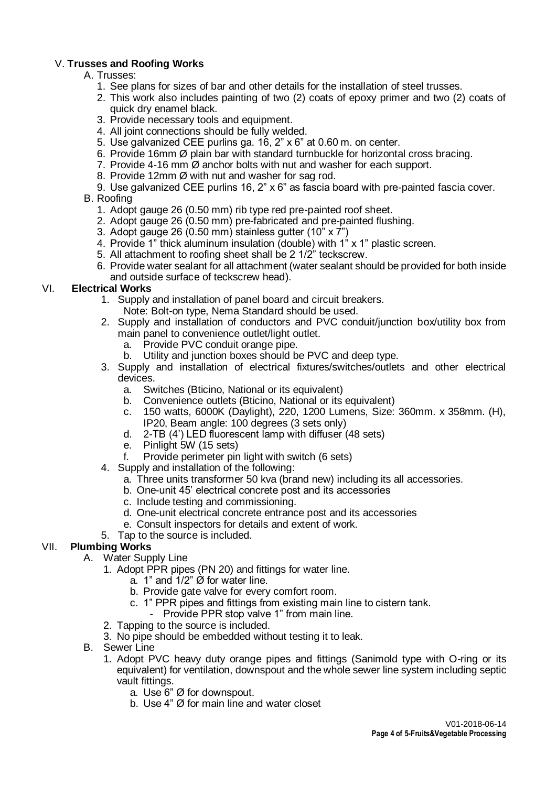### V. **Trusses and Roofing Works**

#### A. Trusses:

- 1. See plans for sizes of bar and other details for the installation of steel trusses.
- 2. This work also includes painting of two (2) coats of epoxy primer and two (2) coats of quick dry enamel black.
- 3. Provide necessary tools and equipment.
- 4. All joint connections should be fully welded.
- 5. Use galvanized CEE purlins ga. 16, 2" x 6" at 0.60 m. on center.
- 6. Provide 16mm Ø plain bar with standard turnbuckle for horizontal cross bracing.
- 7. Provide 4-16 mm Ø anchor bolts with nut and washer for each support.
- 8. Provide 12mm Ø with nut and washer for sag rod.

9. Use galvanized CEE purlins 16, 2" x 6" as fascia board with pre-painted fascia cover.

### B. Roofing

- 1. Adopt gauge 26 (0.50 mm) rib type red pre-painted roof sheet.
- 2. Adopt gauge 26 (0.50 mm) pre-fabricated and pre-painted flushing.
- 3. Adopt gauge 26 (0.50 mm) stainless gutter (10" x 7")
- 4. Provide 1" thick aluminum insulation (double) with 1" x 1" plastic screen.
- 5. All attachment to roofing sheet shall be 2 1/2" teckscrew.
- 6. Provide water sealant for all attachment (water sealant should be provided for both inside and outside surface of teckscrew head).

### VI. **Electrical Works**

- 1. Supply and installation of panel board and circuit breakers. Note: Bolt-on type, Nema Standard should be used.
- 2. Supply and installation of conductors and PVC conduit/junction box/utility box from main panel to convenience outlet/light outlet.
	- a. Provide PVC conduit orange pipe.
	- b. Utility and junction boxes should be PVC and deep type.
- 3. Supply and installation of electrical fixtures/switches/outlets and other electrical devices.
	- a. Switches (Bticino, National or its equivalent)
	- b. Convenience outlets (Bticino, National or its equivalent)
	- c. 150 watts, 6000K (Daylight), 220, 1200 Lumens, Size: 360mm. x 358mm. (H), IP20, Beam angle: 100 degrees (3 sets only)
	- d. 2-TB (4') LED fluorescent lamp with diffuser (48 sets)
	- e. Pinlight 5W (15 sets)
	- f. Provide perimeter pin light with switch (6 sets)
- 4. Supply and installation of the following:
	- a. Three units transformer 50 kva (brand new) including its all accessories.
	- b. One-unit 45' electrical concrete post and its accessories
	- c. Include testing and commissioning.
	- d. One-unit electrical concrete entrance post and its accessories
	- e. Consult inspectors for details and extent of work.
- 5. Tap to the source is included.

### VII. **Plumbing Works**

- A. Water Supply Line
	- 1. Adopt PPR pipes (PN 20) and fittings for water line.
		- a. 1" and  $1/2$ "  $\varnothing$  for water line.
		- b. Provide gate valve for every comfort room.
		- c. 1" PPR pipes and fittings from existing main line to cistern tank.
			- Provide PPR stop valve 1" from main line.
	- 2. Tapping to the source is included.
	- 3. No pipe should be embedded without testing it to leak.
- B. Sewer Line
	- 1. Adopt PVC heavy duty orange pipes and fittings (Sanimold type with O-ring or its equivalent) for ventilation, downspout and the whole sewer line system including septic vault fittings.
		- a. Use 6" Ø for downspout.
		- b. Use 4" Ø for main line and water closet